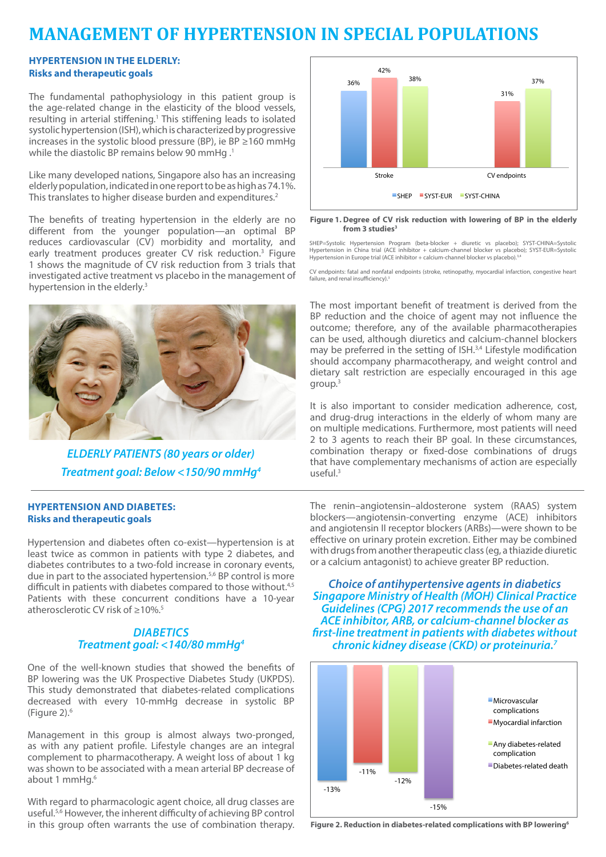# **MANAGEMENT OF HYPERTENSION IN SPECIAL POPULATIONS MANAGEMENT OF HYPERTENSION IN SPECIAL POPULATIONS**

# **HYPERTENSION IN THE ELDERLY: Risks and therapeutic goals**

The fundamental pathophysiology in this patient group is the age-related change in the elasticity of the blood vessels, resulting in arterial stiffening.<sup>1</sup> This stiffening leads to isolated systolic hypertension (ISH), which is characterized by progressive increases in the systolic blood pressure (BP), ie BP  $\geq 160$  mmHg while the diastolic BP remains below 90 mmHg .<sup>1</sup>

Like many developed nations, Singapore also has an increasing elderly population, indicated in one report to be as high as 74.1%. This translates to higher disease burden and expenditures.<sup>2</sup>

The benefits of treating hypertension in the elderly are no different from the younger population—an optimal BP reduces cardiovascular (CV) morbidity and mortality, and early treatment produces greater CV risk reduction.<sup>3</sup> Figure 1 shows the magnitude of CV risk reduction from 3 trials that investigated active treatment vs placebo in the management of hypertension in the elderly.<sup>3</sup>



*ELDERLY PATIENTS (80 years or older) Treatment goal: Below <150/90 mmHg4*

# **HYPERTENSION AND DIABETES: Risks and therapeutic goals**

Hypertension and diabetes often co-exist—hypertension is at least twice as common in patients with type 2 diabetes, and diabetes contributes to a two-fold increase in coronary events, due in part to the associated hypertension.5,6 BP control is more difficult in patients with diabetes compared to those without.<sup>4,5</sup> Patients with these concurrent conditions have a 10-year atherosclerotic CV risk of >10%<sup>5</sup>

# *DIABETICS Treatment goal: <140/80 mmHg4*

One of the well-known studies that showed the benefits of BP lowering was the UK Prospective Diabetes Study (UKPDS). This study demonstrated that diabetes-related complications decreased with every 10-mmHg decrease in systolic BP (Figure 2).6

Management in this group is almost always two-pronged, as with any patient profile. Lifestyle changes are an integral complement to pharmacotherapy. A weight loss of about 1 kg was shown to be associated with a mean arterial BP decrease of about 1 mmHq.<sup>6</sup>

**Figure \mathbf{E} = \mathbf{E} \mathbf{E} \mathbf{E} \mathbf{E} \mathbf{E} \mathbf{E} \mathbf{E} \mathbf{E} \mathbf{E} \mathbf{E} \mathbf{E} \mathbf{E} \mathbf{E} \mathbf{E} \mathbf{E} \mathbf{E} \mathbf{E} \mathbf{E} \mathbf{E} \mathbf{E} \mathbf{E} \mathbf{E} \mathbf{E} \mathbf{E} \mathbf{E} \mathbf{E} \mathbf{E} \mathbf{E} \mathbf{E} \mathbf{E} \mathbf{E} \mathbf{E} \mathbf{E} \mathbf{E} \math** With regard to pharmacologic agent choice, all drug classes are useful.5,6 However, the inherent difficulty of achieving BP control in this group often warrants the use of combination therapy.



### Figure 1. Degree of CV risk reduction with lowering of BP in the elderly from 3 studies<sup>3</sup>

SHEP=Systolic Hypertension Program (beta-blocker + diuretic vs placebo); SYST-CHINA=Systolic<br>Hypertension in China trial (ACE inhibitor + calcium-channel blocker vs placebo); SYST-EUR=Systolic<br>Hypertension in Europe trial

CV endpoints: fatal and nonfatal endpoints (stroke, retinopathy, myocardial infarction, congestive heart failure, and renal insufficiency).<sup>3</sup>

The most important benefit of treatment is derived from the BP reduction and the choice of agent may not influence the outcome; therefore, any of the available pharmacotherapies can be used, although diuretics and calcium-channel blockers may be preferred in the setting of ISH.<sup>3,4</sup> Lifestyle modification and the processes in the elemany condition and congestion. dietary salt restriction are especially encouraged in this age group.3

It is also important to consider medication adherence, cost, **Figure 12** also important to consider medication adherence, cost, and drug-drug interactions in the elderly of whom many are on multiple medications. Furthermore, most patients will need 2 to 3 agents to reach their BP goal. In these circumstances, combination therapy or fixed-dose combinations of drugs that have complementary mechanisms of action are especially useful.<sup>3</sup>

The renin-angiotensin-aldosterone system (RAAS) system me Tenim anglotensin-converting enzyme (ACE) inhibitors and angiotensin II receptor blockers (ARBs)—were shown to be effective on urinary protein excretion. Either may be combined with drugs from another therapeutic class (eg, a thiazide diuretic or a calcium antagonist) to achieve greater BP reduction.

Diabetes-related death

 $\frac{1}{45}$  Choice of antihypertensive agents in diabetics  $R_{\rm ar}$  Singapore Ministry of Health (MOH) Clinical Practice Guidelines (CPG) 2017 recommends the use of an ACE inhibitor, ARB, or calcium-channel blocker as **first-line treatment in patients with diabetes without** *chronic kidney disease (CKD) or proteinuria.7*



**Figure 2. Reduction in diabetes-related complications with BP lowering6**